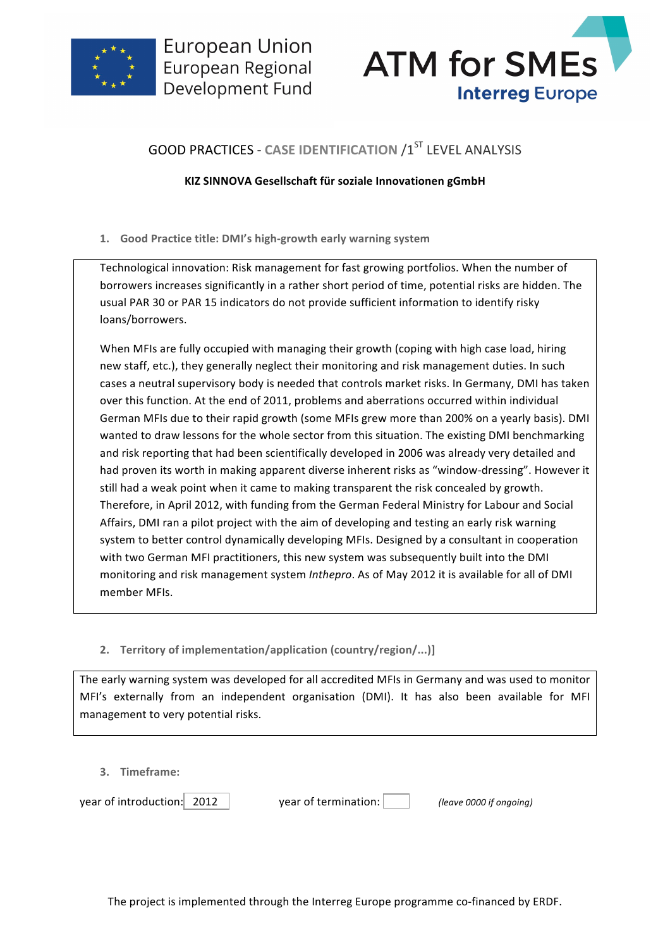



## **GOOD PRACTICES - CASE IDENTIFICATION /1ST LEVEL ANALYSIS**

## **KIZ SINNOVA Gesellschaft für soziale Innovationen gGmbH**

**1. Good Practice title: DMI's high-growth early warning system**

Technological innovation: Risk management for fast growing portfolios. When the number of borrowers increases significantly in a rather short period of time, potential risks are hidden. The usual PAR 30 or PAR 15 indicators do not provide sufficient information to identify risky loans/borrowers.

When MFIs are fully occupied with managing their growth (coping with high case load, hiring new staff, etc.), they generally neglect their monitoring and risk management duties. In such cases a neutral supervisory body is needed that controls market risks. In Germany, DMI has taken over this function. At the end of 2011, problems and aberrations occurred within individual German MFIs due to their rapid growth (some MFIs grew more than 200% on a yearly basis). DMI wanted to draw lessons for the whole sector from this situation. The existing DMI benchmarking and risk reporting that had been scientifically developed in 2006 was already very detailed and had proven its worth in making apparent diverse inherent risks as "window-dressing". However it still had a weak point when it came to making transparent the risk concealed by growth. Therefore, in April 2012, with funding from the German Federal Ministry for Labour and Social Affairs, DMI ran a pilot project with the aim of developing and testing an early risk warning system to better control dynamically developing MFIs. Designed by a consultant in cooperation with two German MFI practitioners, this new system was subsequently built into the DMI monitoring and risk management system *Inthepro*. As of May 2012 it is available for all of DMI member MFIs.

2. **Territory of implementation/application (country/region/...)]** 

The early warning system was developed for all accredited MFIs in Germany and was used to monitor MFI's externally from an independent organisation (DMI). It has also been available for MFI management to very potential risks.

**3. Timeframe:**

year of introduction: 2012 vear of termination: (*leave 0000 if ongoing*)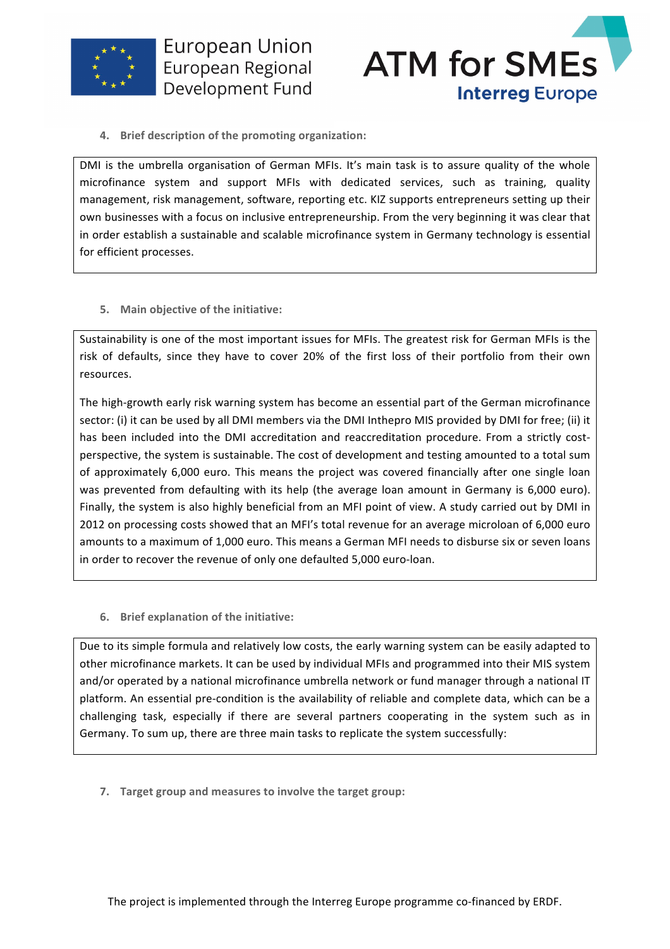



**4.** Brief description of the promoting organization:

DMI is the umbrella organisation of German MFIs. It's main task is to assure quality of the whole microfinance system and support MFIs with dedicated services, such as training, quality management, risk management, software, reporting etc. KIZ supports entrepreneurs setting up their own businesses with a focus on inclusive entrepreneurship. From the very beginning it was clear that in order establish a sustainable and scalable microfinance system in Germany technology is essential for efficient processes.

**5.** Main objective of the initiative:

Sustainability is one of the most important issues for MFIs. The greatest risk for German MFIs is the risk of defaults, since they have to cover 20% of the first loss of their portfolio from their own resources.

The high-growth early risk warning system has become an essential part of the German microfinance sector: (i) it can be used by all DMI members via the DMI Inthepro MIS provided by DMI for free; (ii) it has been included into the DMI accreditation and reaccreditation procedure. From a strictly costperspective, the system is sustainable. The cost of development and testing amounted to a total sum of approximately 6,000 euro. This means the project was covered financially after one single loan was prevented from defaulting with its help (the average loan amount in Germany is 6,000 euro). Finally, the system is also highly beneficial from an MFI point of view. A study carried out by DMI in 2012 on processing costs showed that an MFI's total revenue for an average microloan of 6,000 euro amounts to a maximum of 1,000 euro. This means a German MFI needs to disburse six or seven loans in order to recover the revenue of only one defaulted 5,000 euro-loan.

**6.** Brief explanation of the initiative:

Due to its simple formula and relatively low costs, the early warning system can be easily adapted to other microfinance markets. It can be used by individual MFIs and programmed into their MIS system and/or operated by a national microfinance umbrella network or fund manager through a national IT platform. An essential pre-condition is the availability of reliable and complete data, which can be a challenging task, especially if there are several partners cooperating in the system such as in Germany. To sum up, there are three main tasks to replicate the system successfully:

**7.** Target group and measures to involve the target group: